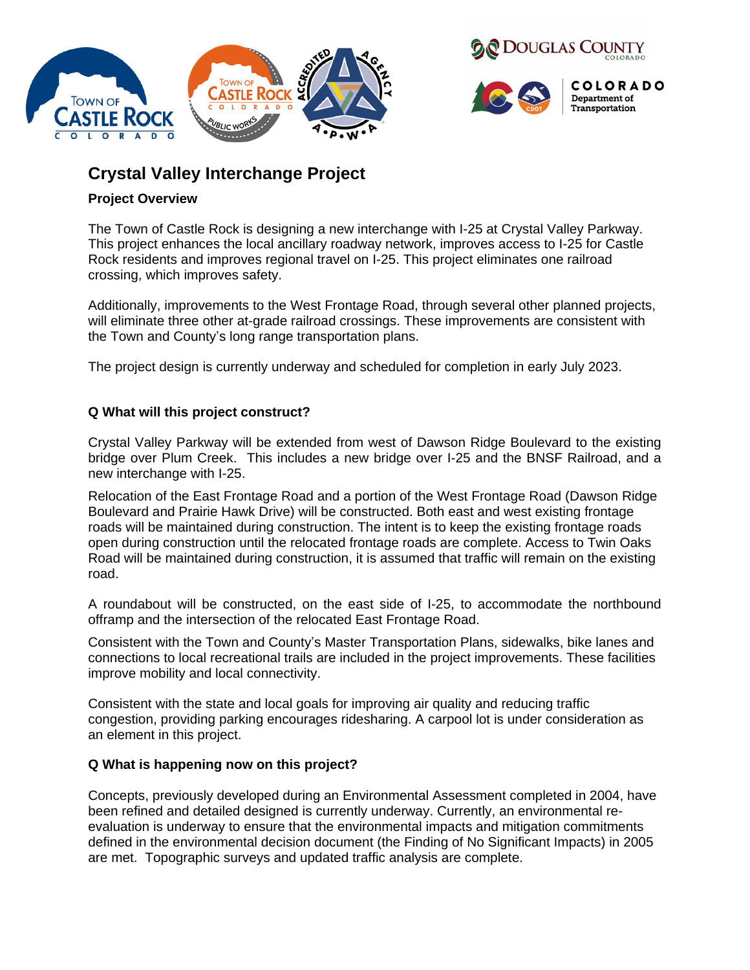



# **Crystal Valley Interchange Project**

# **Project Overview**

The Town of Castle Rock is designing a new interchange with I-25 at Crystal Valley Parkway. This project enhances the local ancillary roadway network, improves access to I-25 for Castle Rock residents and improves regional travel on I-25. This project eliminates one railroad crossing, which improves safety.

Additionally, improvements to the West Frontage Road, through several other planned projects, will eliminate three other at-grade railroad crossings. These improvements are consistent with the Town and County's long range transportation plans.

The project design is currently underway and scheduled for completion in early July 2023.

# **Q What will this project construct?**

Crystal Valley Parkway will be extended from west of Dawson Ridge Boulevard to the existing bridge over Plum Creek. This includes a new bridge over I-25 and the BNSF Railroad, and a new interchange with I-25.

Relocation of the East Frontage Road and a portion of the West Frontage Road (Dawson Ridge Boulevard and Prairie Hawk Drive) will be constructed. Both east and west existing frontage roads will be maintained during construction. The intent is to keep the existing frontage roads open during construction until the relocated frontage roads are complete. Access to Twin Oaks Road will be maintained during construction, it is assumed that traffic will remain on the existing road.

A roundabout will be constructed, on the east side of I-25, to accommodate the northbound offramp and the intersection of the relocated East Frontage Road.

Consistent with the Town and County's Master Transportation Plans, sidewalks, bike lanes and connections to local recreational trails are included in the project improvements. These facilities improve mobility and local connectivity.

Consistent with the state and local goals for improving air quality and reducing traffic congestion, providing parking encourages ridesharing. A carpool lot is under consideration as an element in this project.

# **Q What is happening now on this project?**

Concepts, previously developed during an Environmental Assessment completed in 2004, have been refined and detailed designed is currently underway. Currently, an environmental reevaluation is underway to ensure that the environmental impacts and mitigation commitments defined in the environmental decision document (the Finding of No Significant Impacts) in 2005 are met. Topographic surveys and updated traffic analysis are complete.